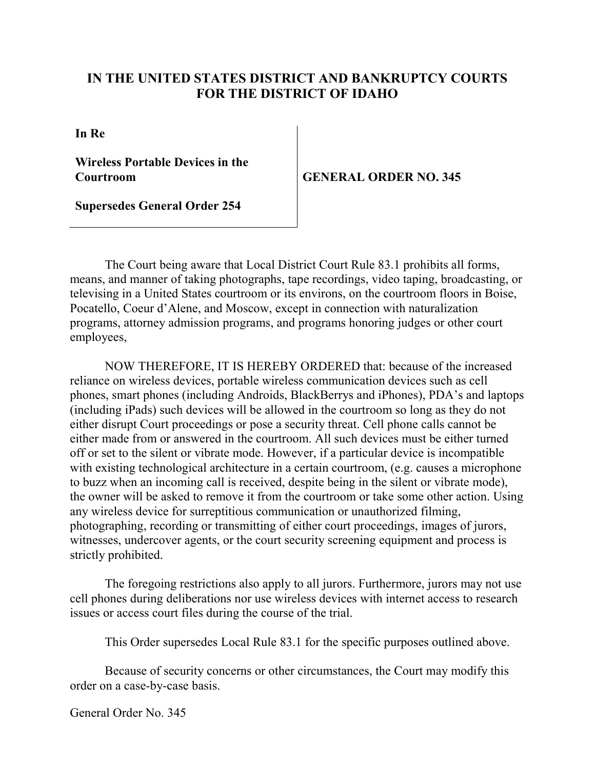## **IN THE UNITED STATES DISTRICT AND BANKRUPTCY COURTS FOR THE DISTRICT OF IDAHO**

**In Re**

**Wireless Portable Devices in the Courtroom**

**GENERAL ORDER NO. 345**

**Supersedes General Order 254**

The Court being aware that Local District Court Rule 83.1 prohibits all forms, means, and manner of taking photographs, tape recordings, video taping, broadcasting, or televising in a United States courtroom or its environs, on the courtroom floors in Boise, Pocatello, Coeur d'Alene, and Moscow, except in connection with naturalization programs, attorney admission programs, and programs honoring judges or other court employees,

NOW THEREFORE, IT IS HEREBY ORDERED that: because of the increased reliance on wireless devices, portable wireless communication devices such as cell phones, smart phones (including Androids, BlackBerrys and iPhones), PDA's and laptops (including iPads) such devices will be allowed in the courtroom so long as they do not either disrupt Court proceedings or pose a security threat. Cell phone calls cannot be either made from or answered in the courtroom. All such devices must be either turned off or set to the silent or vibrate mode. However, if a particular device is incompatible with existing technological architecture in a certain courtroom, (e.g. causes a microphone to buzz when an incoming call is received, despite being in the silent or vibrate mode), the owner will be asked to remove it from the courtroom or take some other action. Using any wireless device for surreptitious communication or unauthorized filming, photographing, recording or transmitting of either court proceedings, images of jurors, witnesses, undercover agents, or the court security screening equipment and process is strictly prohibited.

The foregoing restrictions also apply to all jurors. Furthermore, jurors may not use cell phones during deliberations nor use wireless devices with internet access to research issues or access court files during the course of the trial.

This Order supersedes Local Rule 83.1 for the specific purposes outlined above.

Because of security concerns or other circumstances, the Court may modify this order on a case-by-case basis.

General Order No. 345